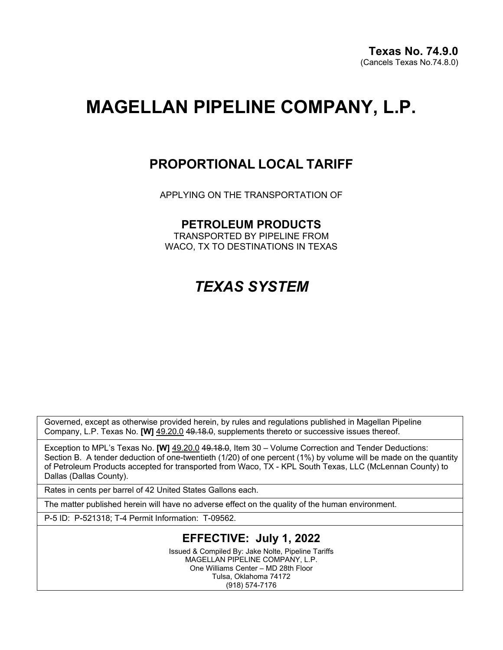# **MAGELLAN PIPELINE COMPANY, L.P.**

## **PROPORTIONAL LOCAL TARIFF**

APPLYING ON THE TRANSPORTATION OF

### **PETROLEUM PRODUCTS**

TRANSPORTED BY PIPELINE FROM WACO, TX TO DESTINATIONS IN TEXAS

## *TEXAS SYSTEM*

Governed, except as otherwise provided herein, by rules and regulations published in Magellan Pipeline Company, L.P. Texas No. **[W]** 49.20.0 49.18.0, supplements thereto or successive issues thereof.

Exception to MPL's Texas No. **[W]** 49.20.0 4<del>9.18.0</del>, Item 30 – Volume Correction and Tender Deductions: Section B. A tender deduction of one-twentieth (1/20) of one percent (1%) by volume will be made on the quantity of Petroleum Products accepted for transported from Waco, TX - KPL South Texas, LLC (McLennan County) to Dallas (Dallas County).

Rates in cents per barrel of 42 United States Gallons each.

The matter published herein will have no adverse effect on the quality of the human environment.

P-5 ID: P-521318; T-4 Permit Information: T-09562.

### **EFFECTIVE: July 1, 2022**

Issued & Compiled By: Jake Nolte, Pipeline Tariffs MAGELLAN PIPELINE COMPANY, L.P. One Williams Center – MD 28th Floor Tulsa, Oklahoma 74172 (918) 574-7176